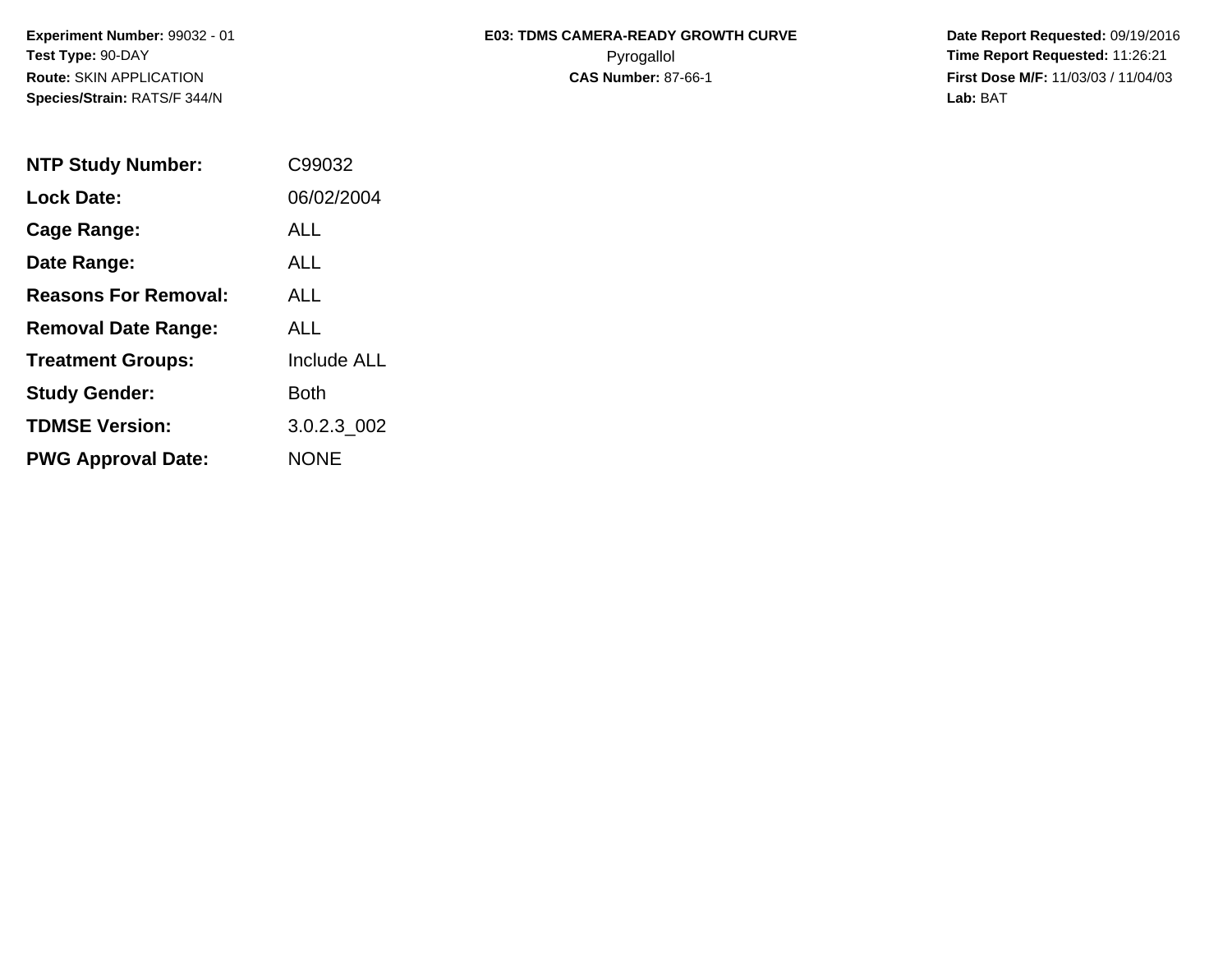**Species/Strain:** RATS/F 344/N **Lab:** BAT

## Experiment Number: 99032 - 01 **E03: TDMS CAMERA-READY GROWTH CURVE** Date Report Requested: 09/19/2016 **Test Type:** 90-DAY Pyrogallol **Time Report Requested:** 11:26:21 **Route:** SKIN APPLICATION **CAS Number:** 87-66-1 **First Dose M/F:** 11/03/03 / 11/04/03

| <b>NTP Study Number:</b>    | C99032             |
|-----------------------------|--------------------|
| <b>Lock Date:</b>           | 06/02/2004         |
| Cage Range:                 | ALL                |
| Date Range:                 | AI L               |
| <b>Reasons For Removal:</b> | AI I               |
| <b>Removal Date Range:</b>  | AI L               |
| <b>Treatment Groups:</b>    | <b>Include ALL</b> |
| <b>Study Gender:</b>        | Both               |
| <b>TDMSE Version:</b>       | 3.0.2.3 002        |
| <b>PWG Approval Date:</b>   | <b>NONE</b>        |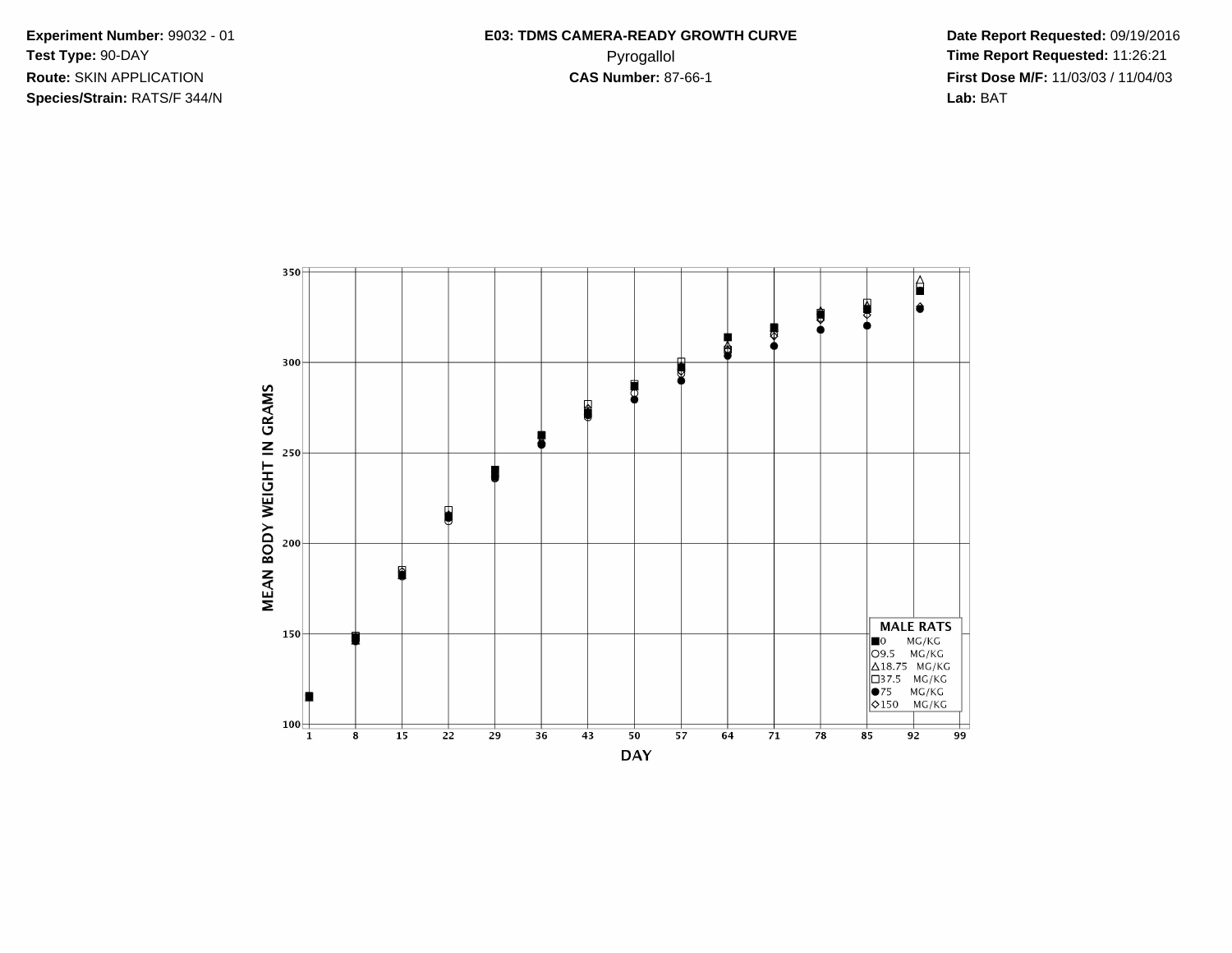Experiment Number: 99032 - 01 Test Type: 90-DAY Route: SKIN APPLICATION Species/Strain: RATS/F 344/N

Date Report Requested: 09/19/2016 Time Report Requested: 11:26:21 First Dose M/F: 11/03/03 / 11/04/03 Lab: BAT